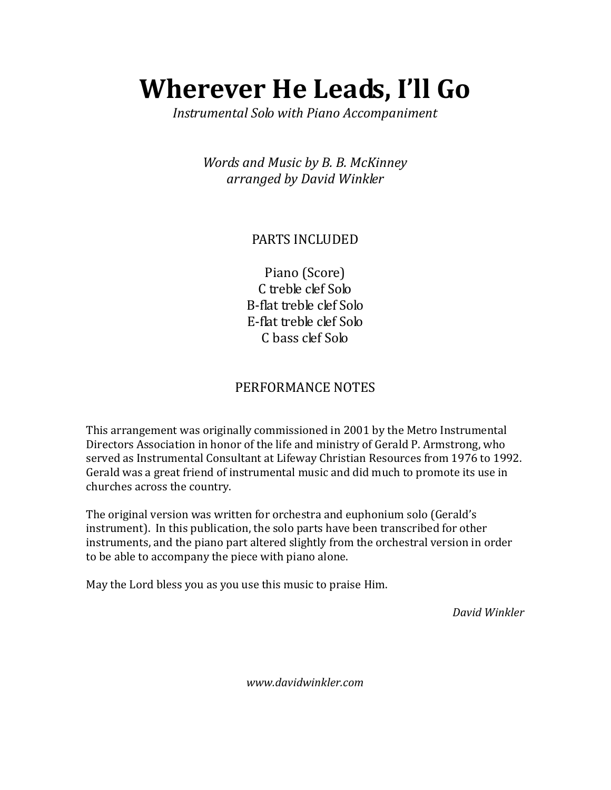## Wherever He Leads, I'll Go

Instrumental Solo with Piano Accompaniment

Words and Music by B. B. McKinney arranged by David Winkler

## PARTS INCLUDED

Piano (Score) C treble clef Solo B-flat treble clef Solo E-flat treble clef Solo C bass clef Solo

## PERFORMANCE NOTES

This arrangement was originally commissioned in 2001 by the Metro Instrumental Directors Association in honor of the life and ministry of Gerald P. Armstrong, who served as Instrumental Consultant at Lifeway Christian Resources from 1976 to 1992. Gerald was a great friend of instrumental music and did much to promote its use in churches across the country.

The original version was written for orchestra and euphonium solo (Gerald's instrument). In this publication, the solo parts have been transcribed for other instruments, and the piano part altered slightly from the orchestral version in order to be able to accompany the piece with piano alone.

May the Lord bless you as you use this music to praise Him.

David Winkler

www.davidwinkler.com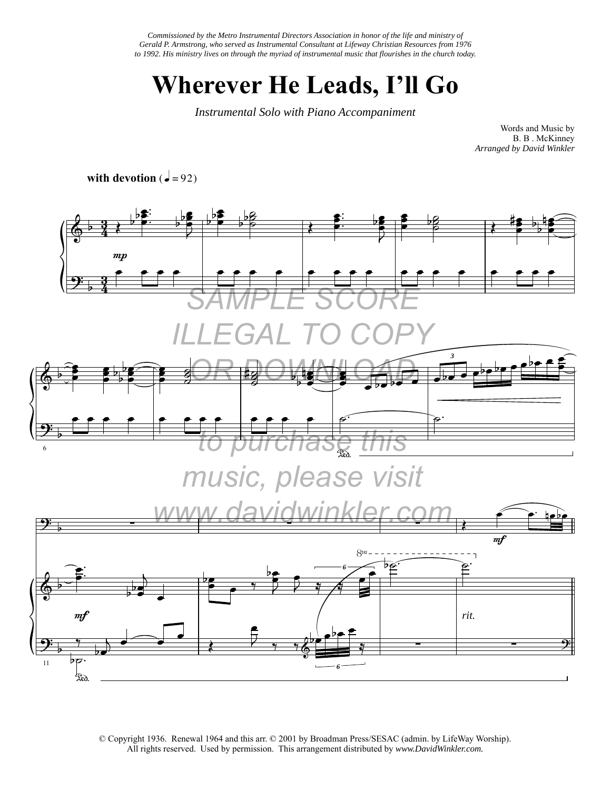*Commissioned by the Metro Instrumental Directors Association in honor of the life and ministry of Gerald P. Armstrong, who served as Instrumental Consultant at Lifeway Christian Resources from 1976 to 1992. His ministry lives on through the myriad of instrumental music that flourishes in the church today.*

## **Wherever He Leads, I'll Go**

*Instrumental Solo with Piano Accompaniment*

Words and Music by B. B . McKinney *Arranged by David Winkler* 

**with devotion**  $\overrightarrow{q} = 92$ 



© Copyright 1936. Renewal 1964 and this arr. © 2001 by Broadman Press/SESAC (admin. by LifeWay Worship). All rights reserved. Used by permission. This arrangement distributed by *www.DavidWinkler.com.*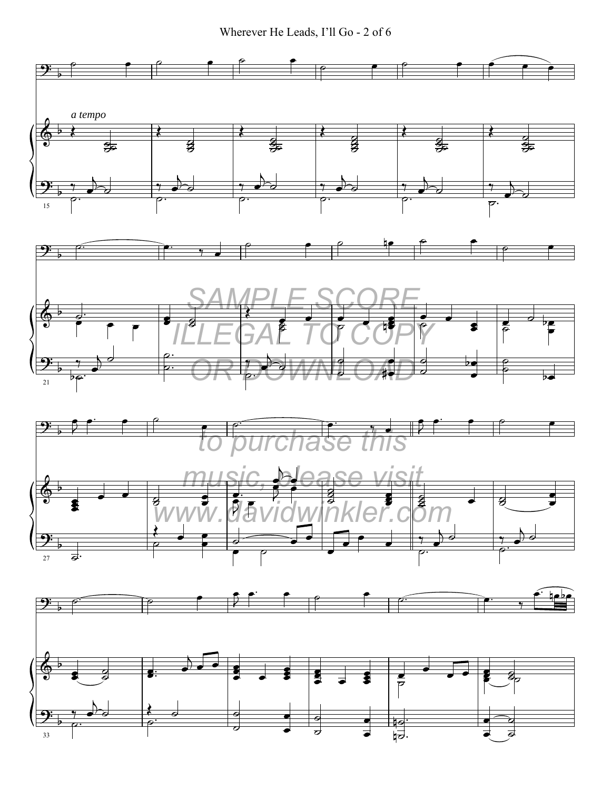Wherever He Leads, I'll Go - 2 of 6

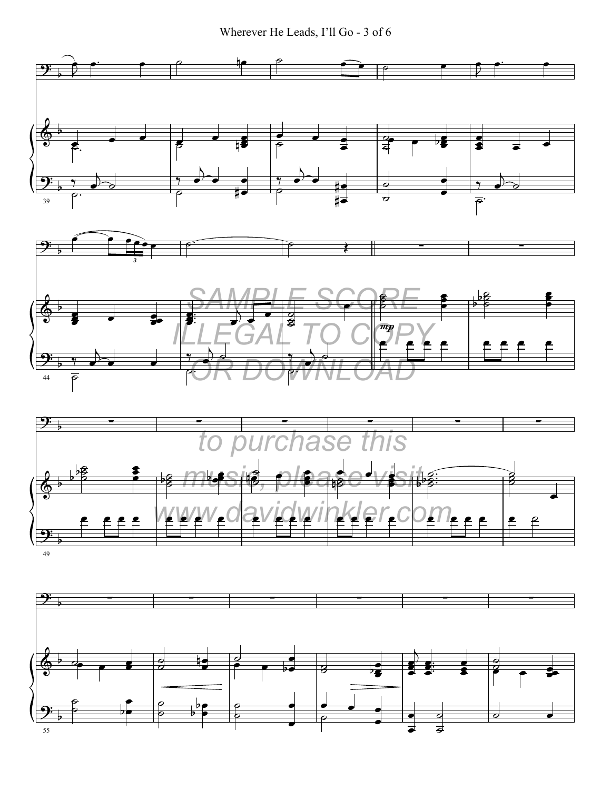Wherever He Leads, I'll Go - 3 of 6



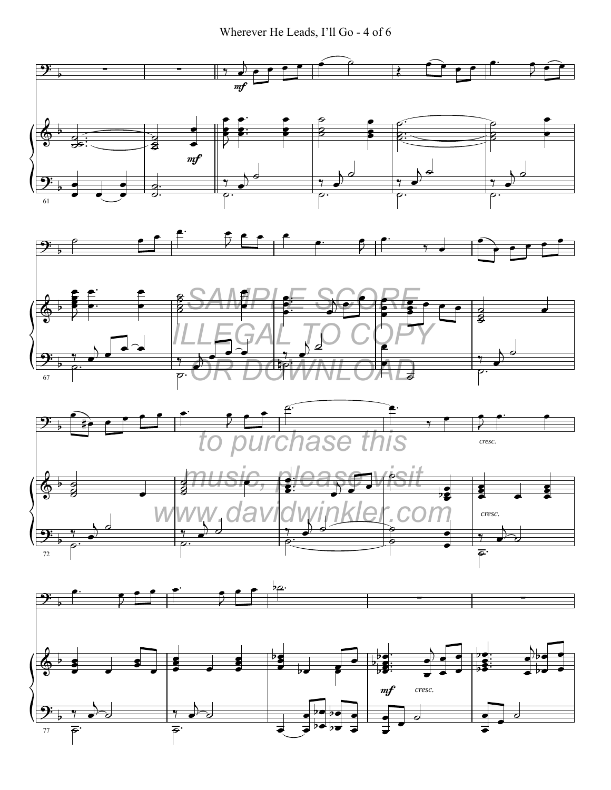Wherever He Leads, I'll Go - 4 of 6

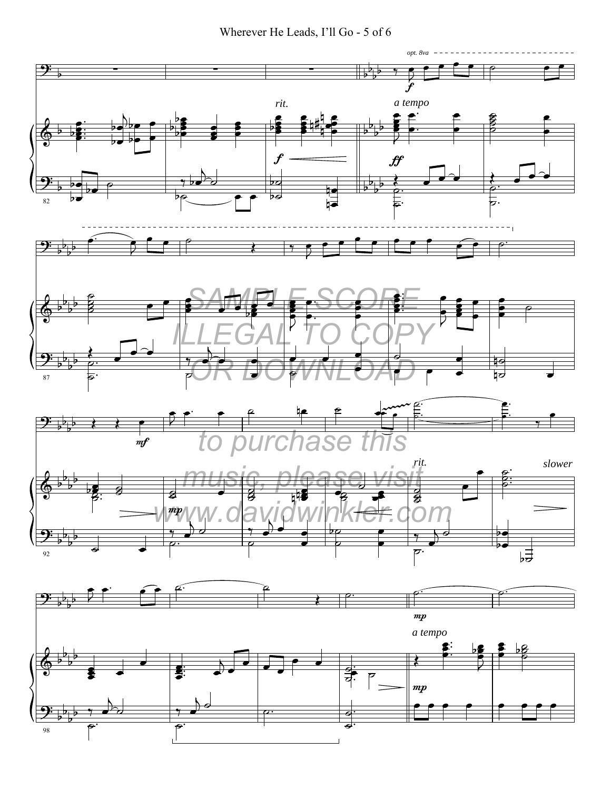